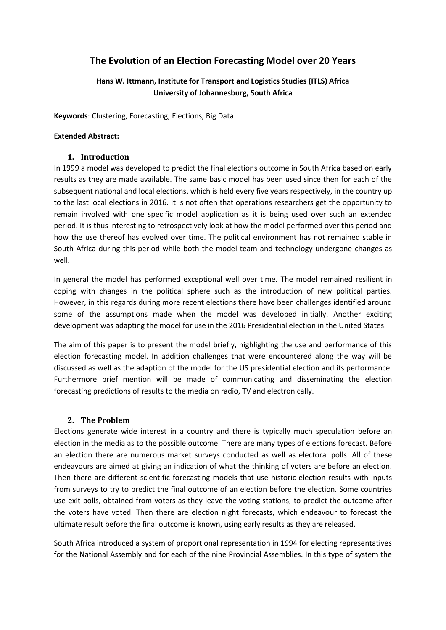# **The Evolution of an Election Forecasting Model over 20 Years**

# **Hans W. Ittmann, Institute for Transport and Logistics Studies (ITLS) Africa University of Johannesburg, South Africa**

**Keywords**: Clustering, Forecasting, Elections, Big Data

### **Extended Abstract:**

### **1. Introduction**

In 1999 a model was developed to predict the final elections outcome in South Africa based on early results as they are made available. The same basic model has been used since then for each of the subsequent national and local elections, which is held every five years respectively, in the country up to the last local elections in 2016. It is not often that operations researchers get the opportunity to remain involved with one specific model application as it is being used over such an extended period. It is thus interesting to retrospectively look at how the model performed over this period and how the use thereof has evolved over time. The political environment has not remained stable in South Africa during this period while both the model team and technology undergone changes as well.

In general the model has performed exceptional well over time. The model remained resilient in coping with changes in the political sphere such as the introduction of new political parties. However, in this regards during more recent elections there have been challenges identified around some of the assumptions made when the model was developed initially. Another exciting development was adapting the model for use in the 2016 Presidential election in the United States.

The aim of this paper is to present the model briefly, highlighting the use and performance of this election forecasting model. In addition challenges that were encountered along the way will be discussed as well as the adaption of the model for the US presidential election and its performance. Furthermore brief mention will be made of communicating and disseminating the election forecasting predictions of results to the media on radio, TV and electronically.

# **2. The Problem**

Elections generate wide interest in a country and there is typically much speculation before an election in the media as to the possible outcome. There are many types of elections forecast. Before an election there are numerous market surveys conducted as well as electoral polls. All of these endeavours are aimed at giving an indication of what the thinking of voters are before an election. Then there are different scientific forecasting models that use historic election results with inputs from surveys to try to predict the final outcome of an election before the election. Some countries use exit polls, obtained from voters as they leave the voting stations, to predict the outcome after the voters have voted. Then there are election night forecasts, which endeavour to forecast the ultimate result before the final outcome is known, using early results as they are released.

South Africa introduced a system of proportional representation in 1994 for electing representatives for the National Assembly and for each of the nine Provincial Assemblies. In this type of system the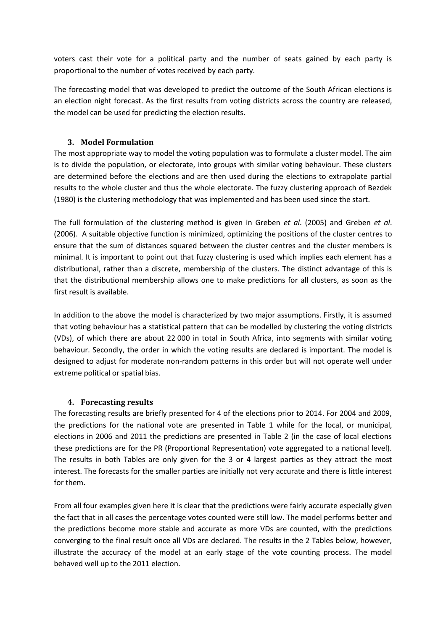voters cast their vote for a political party and the number of seats gained by each party is proportional to the number of votes received by each party.

The forecasting model that was developed to predict the outcome of the South African elections is an election night forecast. As the first results from voting districts across the country are released, the model can be used for predicting the election results.

# **3. Model Formulation**

The most appropriate way to model the voting population was to formulate a cluster model. The aim is to divide the population, or electorate, into groups with similar voting behaviour. These clusters are determined before the elections and are then used during the elections to extrapolate partial results to the whole cluster and thus the whole electorate. The fuzzy clustering approach of Bezdek (1980) is the clustering methodology that was implemented and has been used since the start.

The full formulation of the clustering method is given in Greben *et al*. (2005) and Greben *et al*. (2006). A suitable objective function is minimized, optimizing the positions of the cluster centres to ensure that the sum of distances squared between the cluster centres and the cluster members is minimal. It is important to point out that fuzzy clustering is used which implies each element has a distributional, rather than a discrete, membership of the clusters. The distinct advantage of this is that the distributional membership allows one to make predictions for all clusters, as soon as the first result is available.

In addition to the above the model is characterized by two major assumptions. Firstly, it is assumed that voting behaviour has a statistical pattern that can be modelled by clustering the voting districts (VDs), of which there are about 22 000 in total in South Africa, into segments with similar voting behaviour. Secondly, the order in which the voting results are declared is important. The model is designed to adjust for moderate non-random patterns in this order but will not operate well under extreme political or spatial bias.

# **4. Forecasting results**

The forecasting results are briefly presented for 4 of the elections prior to 2014. For 2004 and 2009, the predictions for the national vote are presented in Table 1 while for the local, or municipal, elections in 2006 and 2011 the predictions are presented in Table 2 (in the case of local elections these predictions are for the PR (Proportional Representation) vote aggregated to a national level). The results in both Tables are only given for the 3 or 4 largest parties as they attract the most interest. The forecasts for the smaller parties are initially not very accurate and there is little interest for them.

From all four examples given here it is clear that the predictions were fairly accurate especially given the fact that in all cases the percentage votes counted were still low. The model performs better and the predictions become more stable and accurate as more VDs are counted, with the predictions converging to the final result once all VDs are declared. The results in the 2 Tables below, however, illustrate the accuracy of the model at an early stage of the vote counting process. The model behaved well up to the 2011 election.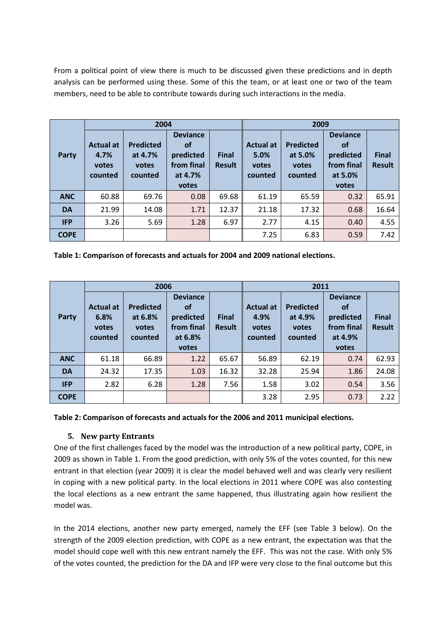From a political point of view there is much to be discussed given these predictions and in depth analysis can be performed using these. Some of this the team, or at least one or two of the team members, need to be able to contribute towards during such interactions in the media.

|              | 2004                                         |                                                 |                                                                             |                               | 2009                                         |                                                 |                                                                             |                               |  |
|--------------|----------------------------------------------|-------------------------------------------------|-----------------------------------------------------------------------------|-------------------------------|----------------------------------------------|-------------------------------------------------|-----------------------------------------------------------------------------|-------------------------------|--|
| <b>Party</b> | <b>Actual at</b><br>4.7%<br>votes<br>counted | <b>Predicted</b><br>at 4.7%<br>votes<br>counted | <b>Deviance</b><br><b>of</b><br>predicted<br>from final<br>at 4.7%<br>votes | <b>Final</b><br><b>Result</b> | <b>Actual at</b><br>5.0%<br>votes<br>counted | <b>Predicted</b><br>at 5.0%<br>votes<br>counted | <b>Deviance</b><br><b>of</b><br>predicted<br>from final<br>at 5.0%<br>votes | <b>Final</b><br><b>Result</b> |  |
| <b>ANC</b>   | 60.88                                        | 69.76                                           | 0.08                                                                        | 69.68                         | 61.19                                        | 65.59                                           | 0.32                                                                        | 65.91                         |  |
| <b>DA</b>    | 21.99                                        | 14.08                                           | 1.71                                                                        | 12.37                         | 21.18                                        | 17.32                                           | 0.68                                                                        | 16.64                         |  |
| <b>IFP</b>   | 3.26                                         | 5.69                                            | 1.28                                                                        | 6.97                          | 2.77                                         | 4.15                                            | 0.40                                                                        | 4.55                          |  |
| <b>COPE</b>  |                                              |                                                 |                                                                             |                               | 7.25                                         | 6.83                                            | 0.59                                                                        | 7.42                          |  |

**Table 1: Comparison of forecasts and actuals for 2004 and 2009 national elections.**

|             | 2006                                         |                                                 |                                                                             |                               | 2011                                         |                                                 |                                                                             |                               |  |
|-------------|----------------------------------------------|-------------------------------------------------|-----------------------------------------------------------------------------|-------------------------------|----------------------------------------------|-------------------------------------------------|-----------------------------------------------------------------------------|-------------------------------|--|
| Party       | <b>Actual at</b><br>6.8%<br>votes<br>counted | <b>Predicted</b><br>at 6.8%<br>votes<br>counted | <b>Deviance</b><br><b>of</b><br>predicted<br>from final<br>at 6.8%<br>votes | <b>Final</b><br><b>Result</b> | <b>Actual at</b><br>4.9%<br>votes<br>counted | <b>Predicted</b><br>at 4.9%<br>votes<br>counted | <b>Deviance</b><br><b>of</b><br>predicted<br>from final<br>at 4.9%<br>votes | <b>Final</b><br><b>Result</b> |  |
| <b>ANC</b>  | 61.18                                        | 66.89                                           | 1.22                                                                        | 65.67                         | 56.89                                        | 62.19                                           | 0.74                                                                        | 62.93                         |  |
| <b>DA</b>   | 24.32                                        | 17.35                                           | 1.03                                                                        | 16.32                         | 32.28                                        | 25.94                                           | 1.86                                                                        | 24.08                         |  |
| <b>IFP</b>  | 2.82                                         | 6.28                                            | 1.28                                                                        | 7.56                          | 1.58                                         | 3.02                                            | 0.54                                                                        | 3.56                          |  |
| <b>COPE</b> |                                              |                                                 |                                                                             |                               | 3.28                                         | 2.95                                            | 0.73                                                                        | 2.22                          |  |

**Table 2: Comparison of forecasts and actuals for the 2006 and 2011 municipal elections.**

# **5. New party Entrants**

One of the first challenges faced by the model was the introduction of a new political party, COPE, in 2009 as shown in Table 1. From the good prediction, with only 5% of the votes counted, for this new entrant in that election (year 2009) it is clear the model behaved well and was clearly very resilient in coping with a new political party. In the local elections in 2011 where COPE was also contesting the local elections as a new entrant the same happened, thus illustrating again how resilient the model was.

In the 2014 elections, another new party emerged, namely the EFF (see Table 3 below). On the strength of the 2009 election prediction, with COPE as a new entrant, the expectation was that the model should cope well with this new entrant namely the EFF. This was not the case. With only 5% of the votes counted, the prediction for the DA and IFP were very close to the final outcome but this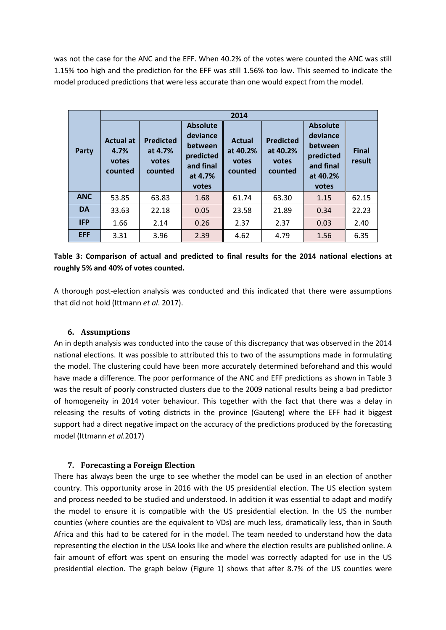was not the case for the ANC and the EFF. When 40.2% of the votes were counted the ANC was still 1.15% too high and the prediction for the EFF was still 1.56% too low. This seemed to indicate the model produced predictions that were less accurate than one would expect from the model.

|            | 2014                                         |                                                 |                                                                                      |                                               |                                                  |                                                                                       |                        |  |  |
|------------|----------------------------------------------|-------------------------------------------------|--------------------------------------------------------------------------------------|-----------------------------------------------|--------------------------------------------------|---------------------------------------------------------------------------------------|------------------------|--|--|
| Party      | <b>Actual at</b><br>4.7%<br>votes<br>counted | <b>Predicted</b><br>at 4.7%<br>votes<br>counted | <b>Absolute</b><br>deviance<br>between<br>predicted<br>and final<br>at 4.7%<br>votes | <b>Actual</b><br>at 40.2%<br>votes<br>counted | <b>Predicted</b><br>at 40.2%<br>votes<br>counted | <b>Absolute</b><br>deviance<br>between<br>predicted<br>and final<br>at 40.2%<br>votes | <b>Final</b><br>result |  |  |
| <b>ANC</b> | 53.85                                        | 63.83                                           | 1.68                                                                                 | 61.74                                         | 63.30                                            | 1.15                                                                                  | 62.15                  |  |  |
| <b>DA</b>  | 33.63                                        | 22.18                                           | 0.05                                                                                 | 23.58                                         | 21.89                                            | 0.34                                                                                  | 22.23                  |  |  |
| <b>IFP</b> | 1.66                                         | 2.14                                            | 0.26                                                                                 | 2.37                                          | 2.37                                             | 0.03                                                                                  | 2.40                   |  |  |
| <b>EFF</b> | 3.31                                         | 3.96                                            | 2.39                                                                                 | 4.62                                          | 4.79                                             | 1.56                                                                                  | 6.35                   |  |  |

# **Table 3: Comparison of actual and predicted to final results for the 2014 national elections at roughly 5% and 40% of votes counted.**

A thorough post-election analysis was conducted and this indicated that there were assumptions that did not hold (Ittmann *et al*. 2017).

### **6. Assumptions**

An in depth analysis was conducted into the cause of this discrepancy that was observed in the 2014 national elections. It was possible to attributed this to two of the assumptions made in formulating the model. The clustering could have been more accurately determined beforehand and this would have made a difference. The poor performance of the ANC and EFF predictions as shown in Table 3 was the result of poorly constructed clusters due to the 2009 national results being a bad predictor of homogeneity in 2014 voter behaviour. This together with the fact that there was a delay in releasing the results of voting districts in the province (Gauteng) where the EFF had it biggest support had a direct negative impact on the accuracy of the predictions produced by the forecasting model (Ittmann *et al.*2017)

### **7. Forecasting a Foreign Election**

There has always been the urge to see whether the model can be used in an election of another country. This opportunity arose in 2016 with the US presidential election. The US election system and process needed to be studied and understood. In addition it was essential to adapt and modify the model to ensure it is compatible with the US presidential election. In the US the number counties (where counties are the equivalent to VDs) are much less, dramatically less, than in South Africa and this had to be catered for in the model. The team needed to understand how the data representing the election in the USA looks like and where the election results are published online. A fair amount of effort was spent on ensuring the model was correctly adapted for use in the US presidential election. The graph below (Figure 1) shows that after 8.7% of the US counties were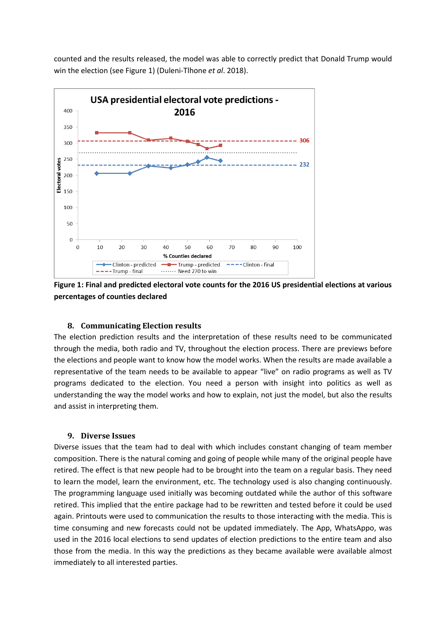counted and the results released, the model was able to correctly predict that Donald Trump would win the election (see Figure 1) (Duleni-Tlhone *et al*. 2018).



**Figure 1: Final and predicted electoral vote counts for the 2016 US presidential elections at various percentages of counties declared**

### **8. Communicating Election results**

The election prediction results and the interpretation of these results need to be communicated through the media, both radio and TV, throughout the election process. There are previews before the elections and people want to know how the model works. When the results are made available a representative of the team needs to be available to appear "live" on radio programs as well as TV programs dedicated to the election. You need a person with insight into politics as well as understanding the way the model works and how to explain, not just the model, but also the results and assist in interpreting them.

#### **9. Diverse Issues**

Diverse issues that the team had to deal with which includes constant changing of team member composition. There is the natural coming and going of people while many of the original people have retired. The effect is that new people had to be brought into the team on a regular basis. They need to learn the model, learn the environment, etc. The technology used is also changing continuously. The programming language used initially was becoming outdated while the author of this software retired. This implied that the entire package had to be rewritten and tested before it could be used again. Printouts were used to communication the results to those interacting with the media. This is time consuming and new forecasts could not be updated immediately. The App, WhatsAppo, was used in the 2016 local elections to send updates of election predictions to the entire team and also those from the media. In this way the predictions as they became available were available almost immediately to all interested parties.